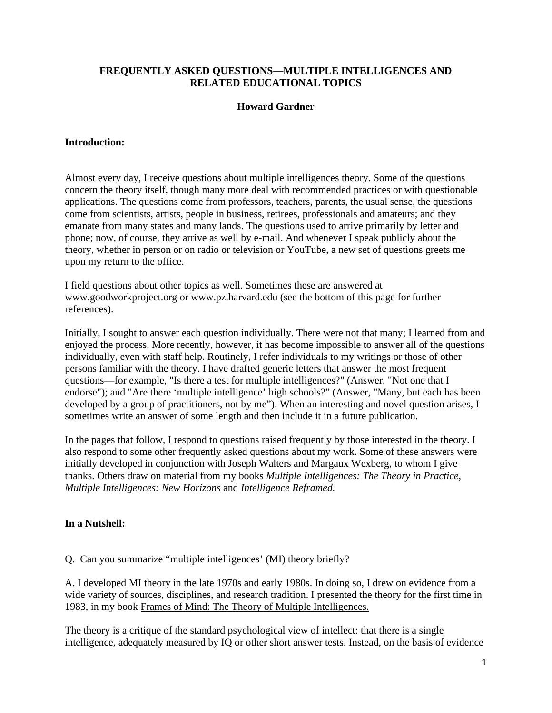# **FREQUENTLY ASKED QUESTIONS—MULTIPLE INTELLIGENCES AND RELATED EDUCATIONAL TOPICS**

### **Howard Gardner**

### **Introduction:**

Almost every day, I receive questions about multiple intelligences theory. Some of the questions concern the theory itself, though many more deal with recommended practices or with questionable applications. The questions come from professors, teachers, parents, the usual sense, the questions come from scientists, artists, people in business, retirees, professionals and amateurs; and they emanate from many states and many lands. The questions used to arrive primarily by letter and phone; now, of course, they arrive as well by e-mail. And whenever I speak publicly about the theory, whether in person or on radio or television or YouTube, a new set of questions greets me upon my return to the office.

I field questions about other topics as well. Sometimes these are answered at www.goodworkproject.org or www.pz.harvard.edu (see the bottom of this page for further references).

Initially, I sought to answer each question individually. There were not that many; I learned from and enjoyed the process. More recently, however, it has become impossible to answer all of the questions individually, even with staff help. Routinely, I refer individuals to my writings or those of other persons familiar with the theory. I have drafted generic letters that answer the most frequent questions—for example, "Is there a test for multiple intelligences?" (Answer, "Not one that I endorse"); and "Are there 'multiple intelligence' high schools?" (Answer, "Many, but each has been developed by a group of practitioners, not by me"). When an interesting and novel question arises, I sometimes write an answer of some length and then include it in a future publication.

In the pages that follow, I respond to questions raised frequently by those interested in the theory. I also respond to some other frequently asked questions about my work. Some of these answers were initially developed in conjunction with Joseph Walters and Margaux Wexberg, to whom I give thanks. Others draw on material from my books *Multiple Intelligences: The Theory in Practice*, *Multiple Intelligences: New Horizons* and *Intelligence Reframed.*

#### **In a Nutshell:**

Q. Can you summarize "multiple intelligences' (MI) theory briefly?

A. I developed MI theory in the late 1970s and early 1980s. In doing so, I drew on evidence from a wide variety of sources, disciplines, and research tradition. I presented the theory for the first time in 1983, in my book Frames of Mind: The Theory of Multiple Intelligences.

The theory is a critique of the standard psychological view of intellect: that there is a single intelligence, adequately measured by IQ or other short answer tests. Instead, on the basis of evidence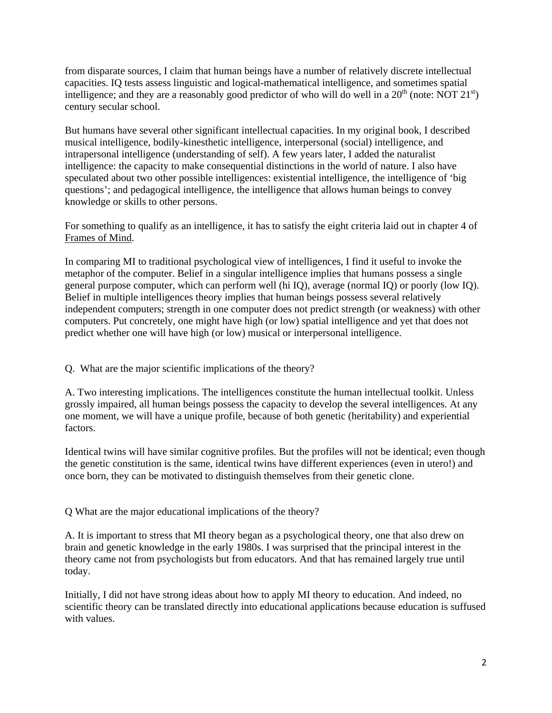from disparate sources, I claim that human beings have a number of relatively discrete intellectual capacities. IQ tests assess linguistic and logical-mathematical intelligence, and sometimes spatial intelligence; and they are a reasonably good predictor of who will do well in a  $20<sup>th</sup>$  (note: NOT  $21<sup>st</sup>$ ) century secular school.

But humans have several other significant intellectual capacities. In my original book, I described musical intelligence, bodily-kinesthetic intelligence, interpersonal (social) intelligence, and intrapersonal intelligence (understanding of self). A few years later, I added the naturalist intelligence: the capacity to make consequential distinctions in the world of nature. I also have speculated about two other possible intelligences: existential intelligence, the intelligence of 'big questions'; and pedagogical intelligence, the intelligence that allows human beings to convey knowledge or skills to other persons.

For something to qualify as an intelligence, it has to satisfy the eight criteria laid out in chapter 4 of Frames of Mind.

In comparing MI to traditional psychological view of intelligences, I find it useful to invoke the metaphor of the computer. Belief in a singular intelligence implies that humans possess a single general purpose computer, which can perform well (hi IQ), average (normal IQ) or poorly (low IQ). Belief in multiple intelligences theory implies that human beings possess several relatively independent computers; strength in one computer does not predict strength (or weakness) with other computers. Put concretely, one might have high (or low) spatial intelligence and yet that does not predict whether one will have high (or low) musical or interpersonal intelligence.

Q. What are the major scientific implications of the theory?

A. Two interesting implications. The intelligences constitute the human intellectual toolkit. Unless grossly impaired, all human beings possess the capacity to develop the several intelligences. At any one moment, we will have a unique profile, because of both genetic (heritability) and experiential factors.

Identical twins will have similar cognitive profiles. But the profiles will not be identical; even though the genetic constitution is the same, identical twins have different experiences (even in utero!) and once born, they can be motivated to distinguish themselves from their genetic clone.

Q What are the major educational implications of the theory?

A. It is important to stress that MI theory began as a psychological theory, one that also drew on brain and genetic knowledge in the early 1980s. I was surprised that the principal interest in the theory came not from psychologists but from educators. And that has remained largely true until today.

Initially, I did not have strong ideas about how to apply MI theory to education. And indeed, no scientific theory can be translated directly into educational applications because education is suffused with values.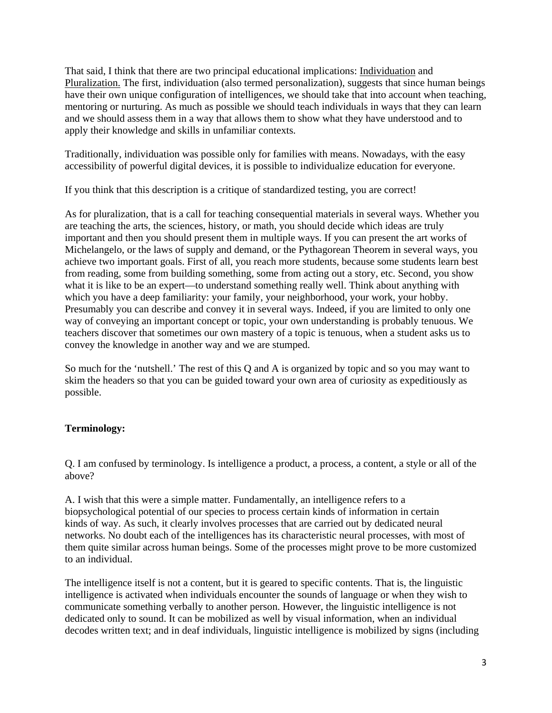That said, I think that there are two principal educational implications: Individuation and Pluralization. The first, individuation (also termed personalization), suggests that since human beings have their own unique configuration of intelligences, we should take that into account when teaching, mentoring or nurturing. As much as possible we should teach individuals in ways that they can learn and we should assess them in a way that allows them to show what they have understood and to apply their knowledge and skills in unfamiliar contexts.

Traditionally, individuation was possible only for families with means. Nowadays, with the easy accessibility of powerful digital devices, it is possible to individualize education for everyone.

If you think that this description is a critique of standardized testing, you are correct!

As for pluralization, that is a call for teaching consequential materials in several ways. Whether you are teaching the arts, the sciences, history, or math, you should decide which ideas are truly important and then you should present them in multiple ways. If you can present the art works of Michelangelo, or the laws of supply and demand, or the Pythagorean Theorem in several ways, you achieve two important goals. First of all, you reach more students, because some students learn best from reading, some from building something, some from acting out a story, etc. Second, you show what it is like to be an expert—to understand something really well. Think about anything with which you have a deep familiarity: your family, your neighborhood, your work, your hobby. Presumably you can describe and convey it in several ways. Indeed, if you are limited to only one way of conveying an important concept or topic, your own understanding is probably tenuous. We teachers discover that sometimes our own mastery of a topic is tenuous, when a student asks us to convey the knowledge in another way and we are stumped.

So much for the 'nutshell.' The rest of this Q and A is organized by topic and so you may want to skim the headers so that you can be guided toward your own area of curiosity as expeditiously as possible.

# **Terminology:**

Q. I am confused by terminology. Is intelligence a product, a process, a content, a style or all of the above?

A. I wish that this were a simple matter. Fundamentally, an intelligence refers to a biopsychological potential of our species to process certain kinds of information in certain kinds of way. As such, it clearly involves processes that are carried out by dedicated neural networks. No doubt each of the intelligences has its characteristic neural processes, with most of them quite similar across human beings. Some of the processes might prove to be more customized to an individual.

The intelligence itself is not a content, but it is geared to specific contents. That is, the linguistic intelligence is activated when individuals encounter the sounds of language or when they wish to communicate something verbally to another person. However, the linguistic intelligence is not dedicated only to sound. It can be mobilized as well by visual information, when an individual decodes written text; and in deaf individuals, linguistic intelligence is mobilized by signs (including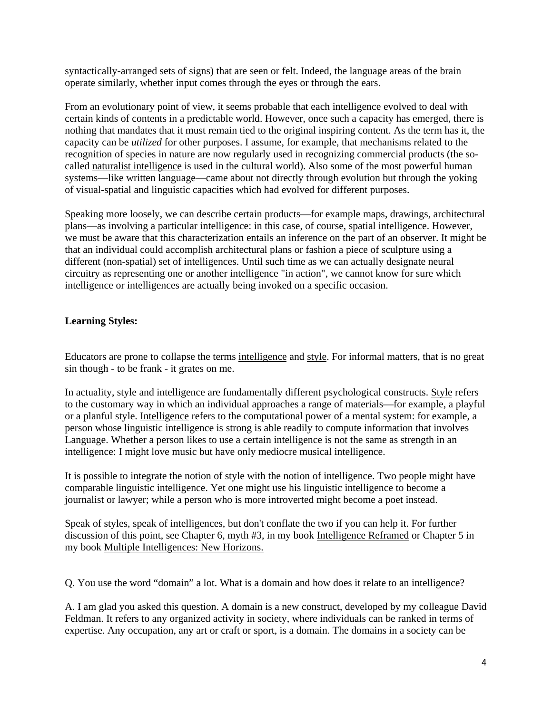syntactically-arranged sets of signs) that are seen or felt. Indeed, the language areas of the brain operate similarly, whether input comes through the eyes or through the ears.

From an evolutionary point of view, it seems probable that each intelligence evolved to deal with certain kinds of contents in a predictable world. However, once such a capacity has emerged, there is nothing that mandates that it must remain tied to the original inspiring content. As the term has it, the capacity can be *utilized* for other purposes. I assume, for example, that mechanisms related to the recognition of species in nature are now regularly used in recognizing commercial products (the socalled naturalist intelligence is used in the cultural world). Also some of the most powerful human systems—like written language—came about not directly through evolution but through the yoking of visual-spatial and linguistic capacities which had evolved for different purposes.

Speaking more loosely, we can describe certain products—for example maps, drawings, architectural plans—as involving a particular intelligence: in this case, of course, spatial intelligence. However, we must be aware that this characterization entails an inference on the part of an observer. It might be that an individual could accomplish architectural plans or fashion a piece of sculpture using a different (non-spatial) set of intelligences. Until such time as we can actually designate neural circuitry as representing one or another intelligence "in action", we cannot know for sure which intelligence or intelligences are actually being invoked on a specific occasion.

# **Learning Styles:**

Educators are prone to collapse the terms intelligence and style. For informal matters, that is no great sin though - to be frank - it grates on me.

In actuality, style and intelligence are fundamentally different psychological constructs. Style refers to the customary way in which an individual approaches a range of materials—for example, a playful or a planful style. Intelligence refers to the computational power of a mental system: for example, a person whose linguistic intelligence is strong is able readily to compute information that involves Language. Whether a person likes to use a certain intelligence is not the same as strength in an intelligence: I might love music but have only mediocre musical intelligence.

It is possible to integrate the notion of style with the notion of intelligence. Two people might have comparable linguistic intelligence. Yet one might use his linguistic intelligence to become a journalist or lawyer; while a person who is more introverted might become a poet instead.

Speak of styles, speak of intelligences, but don't conflate the two if you can help it. For further discussion of this point, see Chapter 6, myth #3, in my book Intelligence Reframed or Chapter 5 in my book Multiple Intelligences: New Horizons.

Q. You use the word "domain" a lot. What is a domain and how does it relate to an intelligence?

A. I am glad you asked this question. A domain is a new construct, developed by my colleague David Feldman. It refers to any organized activity in society, where individuals can be ranked in terms of expertise. Any occupation, any art or craft or sport, is a domain. The domains in a society can be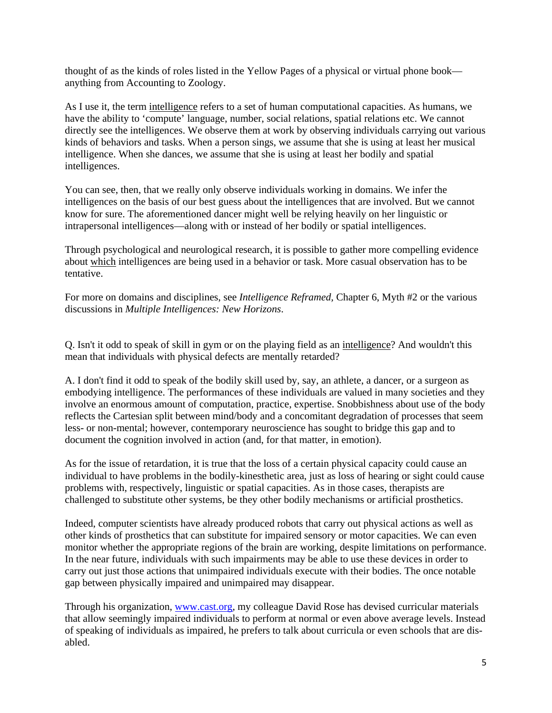thought of as the kinds of roles listed in the Yellow Pages of a physical or virtual phone book anything from Accounting to Zoology.

As I use it, the term intelligence refers to a set of human computational capacities. As humans, we have the ability to 'compute' language, number, social relations, spatial relations etc. We cannot directly see the intelligences. We observe them at work by observing individuals carrying out various kinds of behaviors and tasks. When a person sings, we assume that she is using at least her musical intelligence. When she dances, we assume that she is using at least her bodily and spatial intelligences.

You can see, then, that we really only observe individuals working in domains. We infer the intelligences on the basis of our best guess about the intelligences that are involved. But we cannot know for sure. The aforementioned dancer might well be relying heavily on her linguistic or intrapersonal intelligences—along with or instead of her bodily or spatial intelligences.

Through psychological and neurological research, it is possible to gather more compelling evidence about which intelligences are being used in a behavior or task. More casual observation has to be tentative.

For more on domains and disciplines, see *Intelligence Reframed,* Chapter 6, Myth #2 or the various discussions in *Multiple Intelligences: New Horizons*.

Q. Isn't it odd to speak of skill in gym or on the playing field as an intelligence? And wouldn't this mean that individuals with physical defects are mentally retarded?

A. I don't find it odd to speak of the bodily skill used by, say, an athlete, a dancer, or a surgeon as embodying intelligence. The performances of these individuals are valued in many societies and they involve an enormous amount of computation, practice, expertise. Snobbishness about use of the body reflects the Cartesian split between mind/body and a concomitant degradation of processes that seem less- or non-mental; however, contemporary neuroscience has sought to bridge this gap and to document the cognition involved in action (and, for that matter, in emotion).

As for the issue of retardation, it is true that the loss of a certain physical capacity could cause an individual to have problems in the bodily-kinesthetic area, just as loss of hearing or sight could cause problems with, respectively, linguistic or spatial capacities. As in those cases, therapists are challenged to substitute other systems, be they other bodily mechanisms or artificial prosthetics.

Indeed, computer scientists have already produced robots that carry out physical actions as well as other kinds of prosthetics that can substitute for impaired sensory or motor capacities. We can even monitor whether the appropriate regions of the brain are working, despite limitations on performance. In the near future, individuals with such impairments may be able to use these devices in order to carry out just those actions that unimpaired individuals execute with their bodies. The once notable gap between physically impaired and unimpaired may disappear.

Through his organization, www.cast.org, my colleague David Rose has devised curricular materials that allow seemingly impaired individuals to perform at normal or even above average levels. Instead of speaking of individuals as impaired, he prefers to talk about curricula or even schools that are disabled.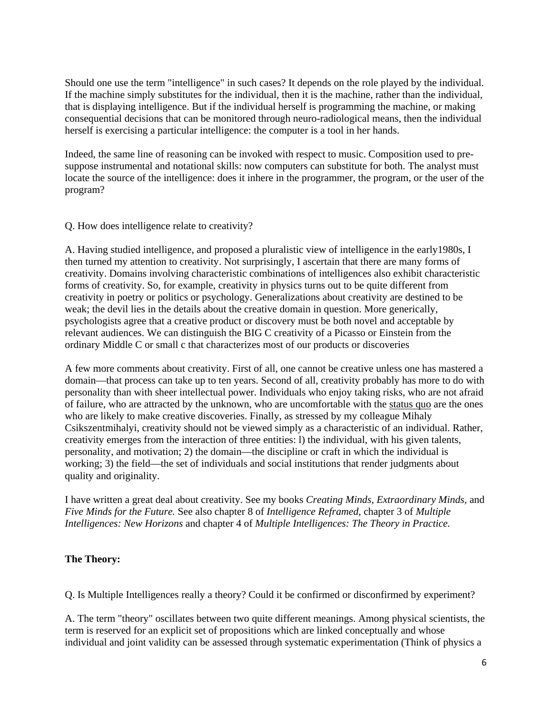Should one use the term "intelligence" in such cases? It depends on the role played by the individual. If the machine simply substitutes for the individual, then it is the machine, rather than the individual, that is displaying intelligence. But if the individual herself is programming the machine, or making consequential decisions that can be monitored through neuro-radiological means, then the individual herself is exercising a particular intelligence: the computer is a tool in her hands.

Indeed, the same line of reasoning can be invoked with respect to music. Composition used to presuppose instrumental and notational skills: now computers can substitute for both. The analyst must locate the source of the intelligence: does it inhere in the programmer, the program, or the user of the program?

# Q. How does intelligence relate to creativity?

A. Having studied intelligence, and proposed a pluralistic view of intelligence in the early1980s, I then turned my attention to creativity. Not surprisingly, I ascertain that there are many forms of creativity. Domains involving characteristic combinations of intelligences also exhibit characteristic forms of creativity. So, for example, creativity in physics turns out to be quite different from creativity in poetry or politics or psychology. Generalizations about creativity are destined to be weak; the devil lies in the details about the creative domain in question. More generically, psychologists agree that a creative product or discovery must be both novel and acceptable by relevant audiences. We can distinguish the BIG C creativity of a Picasso or Einstein from the ordinary Middle C or small c that characterizes most of our products or discoveries

A few more comments about creativity. First of all, one cannot be creative unless one has mastered a domain—that process can take up to ten years. Second of all, creativity probably has more to do with personality than with sheer intellectual power. Individuals who enjoy taking risks, who are not afraid of failure, who are attracted by the unknown, who are uncomfortable with the status quo are the ones who are likely to make creative discoveries. Finally, as stressed by my colleague Mihaly Csikszentmihalyi, creativity should not be viewed simply as a characteristic of an individual. Rather, creativity emerges from the interaction of three entities: l) the individual, with his given talents, personality, and motivation; 2) the domain—the discipline or craft in which the individual is working; 3) the field—the set of individuals and social institutions that render judgments about quality and originality.

I have written a great deal about creativity. See my books *Creating Minds, Extraordinary Minds,* and *Five Minds for the Future.* See also chapter 8 of *Intelligence Reframed*, chapter 3 of *Multiple Intelligences: New Horizons* and chapter 4 of *Multiple Intelligences: The Theory in Practice.* 

#### **The Theory:**

Q. Is Multiple Intelligences really a theory? Could it be confirmed or disconfirmed by experiment?

A. The term "theory" oscillates between two quite different meanings. Among physical scientists, the term is reserved for an explicit set of propositions which are linked conceptually and whose individual and joint validity can be assessed through systematic experimentation (Think of physics a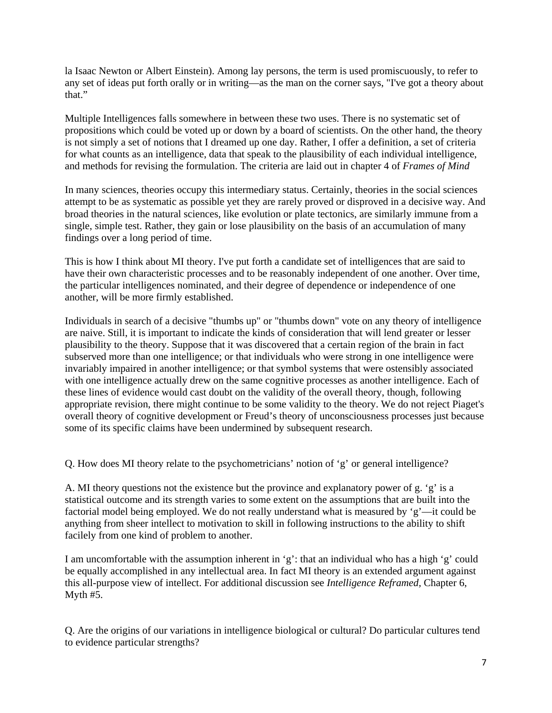la Isaac Newton or Albert Einstein). Among lay persons, the term is used promiscuously, to refer to any set of ideas put forth orally or in writing—as the man on the corner says, "I've got a theory about that."

Multiple Intelligences falls somewhere in between these two uses. There is no systematic set of propositions which could be voted up or down by a board of scientists. On the other hand, the theory is not simply a set of notions that I dreamed up one day. Rather, I offer a definition, a set of criteria for what counts as an intelligence, data that speak to the plausibility of each individual intelligence, and methods for revising the formulation. The criteria are laid out in chapter 4 of *Frames of Mind*

In many sciences, theories occupy this intermediary status. Certainly, theories in the social sciences attempt to be as systematic as possible yet they are rarely proved or disproved in a decisive way. And broad theories in the natural sciences, like evolution or plate tectonics, are similarly immune from a single, simple test. Rather, they gain or lose plausibility on the basis of an accumulation of many findings over a long period of time.

This is how I think about MI theory. I've put forth a candidate set of intelligences that are said to have their own characteristic processes and to be reasonably independent of one another. Over time, the particular intelligences nominated, and their degree of dependence or independence of one another, will be more firmly established.

Individuals in search of a decisive "thumbs up" or "thumbs down" vote on any theory of intelligence are naive. Still, it is important to indicate the kinds of consideration that will lend greater or lesser plausibility to the theory. Suppose that it was discovered that a certain region of the brain in fact subserved more than one intelligence; or that individuals who were strong in one intelligence were invariably impaired in another intelligence; or that symbol systems that were ostensibly associated with one intelligence actually drew on the same cognitive processes as another intelligence. Each of these lines of evidence would cast doubt on the validity of the overall theory, though, following appropriate revision, there might continue to be some validity to the theory. We do not reject Piaget's overall theory of cognitive development or Freud's theory of unconsciousness processes just because some of its specific claims have been undermined by subsequent research.

Q. How does MI theory relate to the psychometricians' notion of 'g' or general intelligence?

A. MI theory questions not the existence but the province and explanatory power of g. 'g' is a statistical outcome and its strength varies to some extent on the assumptions that are built into the factorial model being employed. We do not really understand what is measured by 'g'—it could be anything from sheer intellect to motivation to skill in following instructions to the ability to shift facilely from one kind of problem to another.

I am uncomfortable with the assumption inherent in 'g': that an individual who has a high 'g' could be equally accomplished in any intellectual area. In fact MI theory is an extended argument against this all-purpose view of intellect. For additional discussion see *Intelligence Reframed,* Chapter 6, Myth #5.

Q. Are the origins of our variations in intelligence biological or cultural? Do particular cultures tend to evidence particular strengths?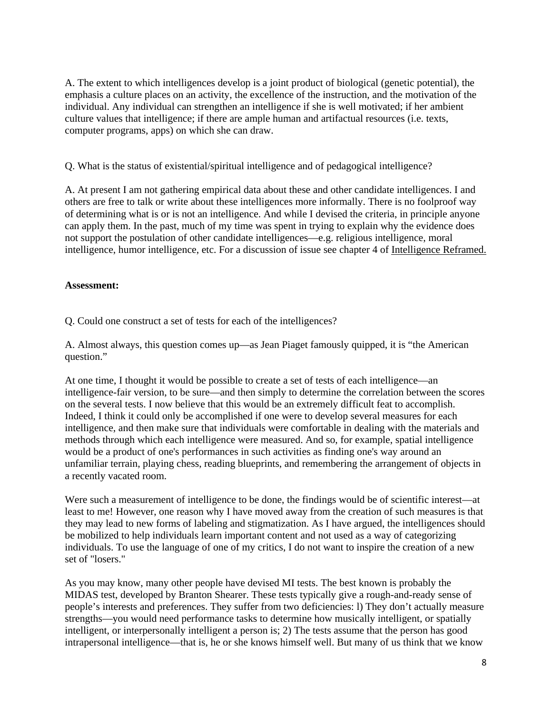A. The extent to which intelligences develop is a joint product of biological (genetic potential), the emphasis a culture places on an activity, the excellence of the instruction, and the motivation of the individual. Any individual can strengthen an intelligence if she is well motivated; if her ambient culture values that intelligence; if there are ample human and artifactual resources (i.e. texts, computer programs, apps) on which she can draw.

Q. What is the status of existential/spiritual intelligence and of pedagogical intelligence?

A. At present I am not gathering empirical data about these and other candidate intelligences. I and others are free to talk or write about these intelligences more informally. There is no foolproof way of determining what is or is not an intelligence. And while I devised the criteria, in principle anyone can apply them. In the past, much of my time was spent in trying to explain why the evidence does not support the postulation of other candidate intelligences—e.g. religious intelligence, moral intelligence, humor intelligence, etc. For a discussion of issue see chapter 4 of Intelligence Reframed.

# **Assessment:**

Q. Could one construct a set of tests for each of the intelligences?

A. Almost always, this question comes up—as Jean Piaget famously quipped, it is "the American question."

At one time, I thought it would be possible to create a set of tests of each intelligence—an intelligence-fair version, to be sure—and then simply to determine the correlation between the scores on the several tests. I now believe that this would be an extremely difficult feat to accomplish. Indeed, I think it could only be accomplished if one were to develop several measures for each intelligence, and then make sure that individuals were comfortable in dealing with the materials and methods through which each intelligence were measured. And so, for example, spatial intelligence would be a product of one's performances in such activities as finding one's way around an unfamiliar terrain, playing chess, reading blueprints, and remembering the arrangement of objects in a recently vacated room.

Were such a measurement of intelligence to be done, the findings would be of scientific interest—at least to me! However, one reason why I have moved away from the creation of such measures is that they may lead to new forms of labeling and stigmatization. As I have argued, the intelligences should be mobilized to help individuals learn important content and not used as a way of categorizing individuals. To use the language of one of my critics, I do not want to inspire the creation of a new set of "losers."

As you may know, many other people have devised MI tests. The best known is probably the MIDAS test, developed by Branton Shearer. These tests typically give a rough-and-ready sense of people's interests and preferences. They suffer from two deficiencies: l) They don't actually measure strengths—you would need performance tasks to determine how musically intelligent, or spatially intelligent, or interpersonally intelligent a person is; 2) The tests assume that the person has good intrapersonal intelligence—that is, he or she knows himself well. But many of us think that we know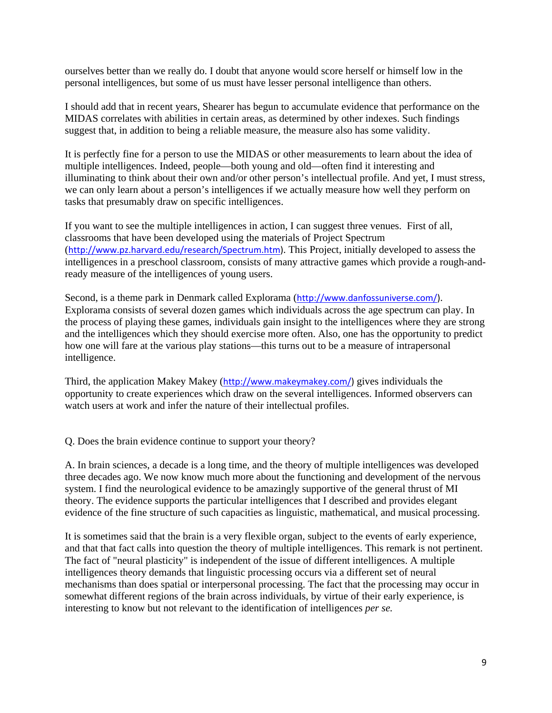ourselves better than we really do. I doubt that anyone would score herself or himself low in the personal intelligences, but some of us must have lesser personal intelligence than others.

I should add that in recent years, Shearer has begun to accumulate evidence that performance on the MIDAS correlates with abilities in certain areas, as determined by other indexes. Such findings suggest that, in addition to being a reliable measure, the measure also has some validity.

It is perfectly fine for a person to use the MIDAS or other measurements to learn about the idea of multiple intelligences. Indeed, people—both young and old—often find it interesting and illuminating to think about their own and/or other person's intellectual profile. And yet, I must stress, we can only learn about a person's intelligences if we actually measure how well they perform on tasks that presumably draw on specific intelligences.

If you want to see the multiple intelligences in action, I can suggest three venues. First of all, classrooms that have been developed using the materials of Project Spectrum (http://www.pz.harvard.edu/research/Spectrum.htm). This Project, initially developed to assess the intelligences in a preschool classroom, consists of many attractive games which provide a rough-andready measure of the intelligences of young users.

Second, is a theme park in Denmark called Explorama (http://www.danfossuniverse.com/). Explorama consists of several dozen games which individuals across the age spectrum can play. In the process of playing these games, individuals gain insight to the intelligences where they are strong and the intelligences which they should exercise more often. Also, one has the opportunity to predict how one will fare at the various play stations—this turns out to be a measure of intrapersonal intelligence.

Third, the application Makey Makey (http://www.makeymakey.com/) gives individuals the opportunity to create experiences which draw on the several intelligences. Informed observers can watch users at work and infer the nature of their intellectual profiles.

Q. Does the brain evidence continue to support your theory?

A. In brain sciences, a decade is a long time, and the theory of multiple intelligences was developed three decades ago. We now know much more about the functioning and development of the nervous system. I find the neurological evidence to be amazingly supportive of the general thrust of MI theory. The evidence supports the particular intelligences that I described and provides elegant evidence of the fine structure of such capacities as linguistic, mathematical, and musical processing.

It is sometimes said that the brain is a very flexible organ, subject to the events of early experience, and that that fact calls into question the theory of multiple intelligences. This remark is not pertinent. The fact of "neural plasticity" is independent of the issue of different intelligences. A multiple intelligences theory demands that linguistic processing occurs via a different set of neural mechanisms than does spatial or interpersonal processing. The fact that the processing may occur in somewhat different regions of the brain across individuals, by virtue of their early experience, is interesting to know but not relevant to the identification of intelligences *per se.*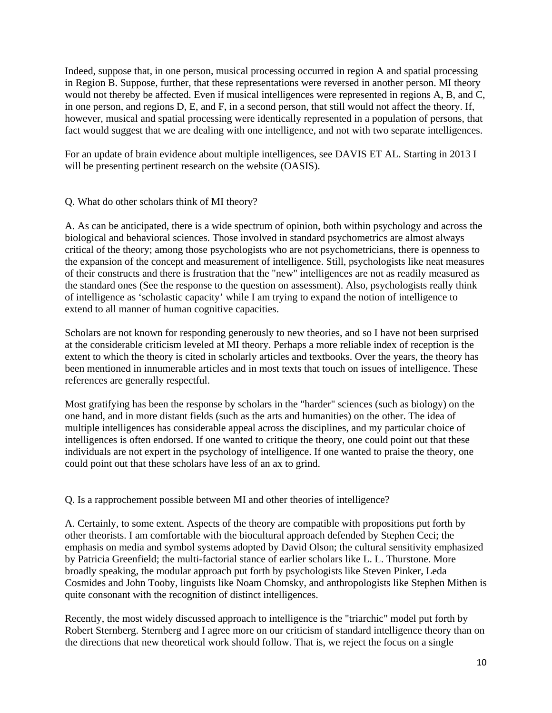Indeed, suppose that, in one person, musical processing occurred in region A and spatial processing in Region B. Suppose, further, that these representations were reversed in another person. MI theory would not thereby be affected. Even if musical intelligences were represented in regions A, B, and C, in one person, and regions D, E, and F, in a second person, that still would not affect the theory. If, however, musical and spatial processing were identically represented in a population of persons, that fact would suggest that we are dealing with one intelligence, and not with two separate intelligences.

For an update of brain evidence about multiple intelligences, see DAVIS ET AL. Starting in 2013 I will be presenting pertinent research on the website (OASIS).

### Q. What do other scholars think of MI theory?

A. As can be anticipated, there is a wide spectrum of opinion, both within psychology and across the biological and behavioral sciences. Those involved in standard psychometrics are almost always critical of the theory; among those psychologists who are not psychometricians, there is openness to the expansion of the concept and measurement of intelligence. Still, psychologists like neat measures of their constructs and there is frustration that the "new" intelligences are not as readily measured as the standard ones (See the response to the question on assessment). Also, psychologists really think of intelligence as 'scholastic capacity' while I am trying to expand the notion of intelligence to extend to all manner of human cognitive capacities.

Scholars are not known for responding generously to new theories, and so I have not been surprised at the considerable criticism leveled at MI theory. Perhaps a more reliable index of reception is the extent to which the theory is cited in scholarly articles and textbooks. Over the years, the theory has been mentioned in innumerable articles and in most texts that touch on issues of intelligence. These references are generally respectful.

Most gratifying has been the response by scholars in the "harder" sciences (such as biology) on the one hand, and in more distant fields (such as the arts and humanities) on the other. The idea of multiple intelligences has considerable appeal across the disciplines, and my particular choice of intelligences is often endorsed. If one wanted to critique the theory, one could point out that these individuals are not expert in the psychology of intelligence. If one wanted to praise the theory, one could point out that these scholars have less of an ax to grind.

#### Q. Is a rapprochement possible between MI and other theories of intelligence?

A. Certainly, to some extent. Aspects of the theory are compatible with propositions put forth by other theorists. I am comfortable with the biocultural approach defended by Stephen Ceci; the emphasis on media and symbol systems adopted by David Olson; the cultural sensitivity emphasized by Patricia Greenfield; the multi-factorial stance of earlier scholars like L. L. Thurstone. More broadly speaking, the modular approach put forth by psychologists like Steven Pinker, Leda Cosmides and John Tooby, linguists like Noam Chomsky, and anthropologists like Stephen Mithen is quite consonant with the recognition of distinct intelligences.

Recently, the most widely discussed approach to intelligence is the "triarchic" model put forth by Robert Sternberg. Sternberg and I agree more on our criticism of standard intelligence theory than on the directions that new theoretical work should follow. That is, we reject the focus on a single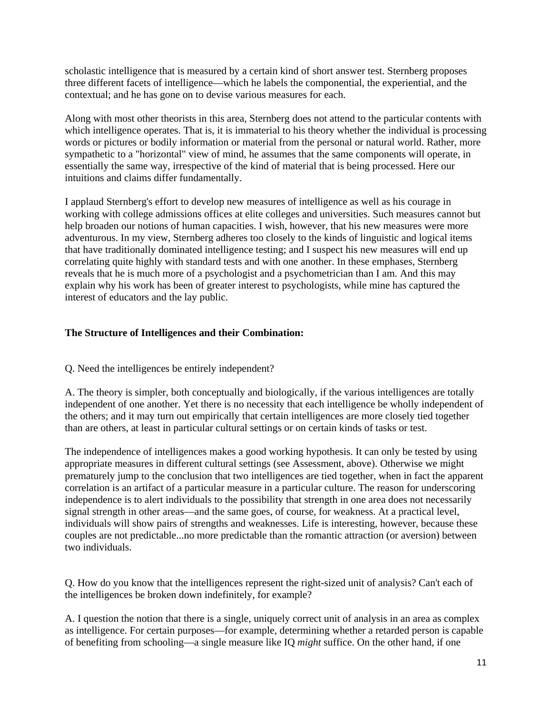scholastic intelligence that is measured by a certain kind of short answer test. Sternberg proposes three different facets of intelligence—which he labels the componential, the experiential, and the contextual; and he has gone on to devise various measures for each.

Along with most other theorists in this area, Sternberg does not attend to the particular contents with which intelligence operates. That is, it is immaterial to his theory whether the individual is processing words or pictures or bodily information or material from the personal or natural world. Rather, more sympathetic to a "horizontal" view of mind, he assumes that the same components will operate, in essentially the same way, irrespective of the kind of material that is being processed. Here our intuitions and claims differ fundamentally.

I applaud Sternberg's effort to develop new measures of intelligence as well as his courage in working with college admissions offices at elite colleges and universities. Such measures cannot but help broaden our notions of human capacities. I wish, however, that his new measures were more adventurous. In my view, Sternberg adheres too closely to the kinds of linguistic and logical items that have traditionally dominated intelligence testing; and I suspect his new measures will end up correlating quite highly with standard tests and with one another. In these emphases, Sternberg reveals that he is much more of a psychologist and a psychometrician than I am. And this may explain why his work has been of greater interest to psychologists, while mine has captured the interest of educators and the lay public.

# **The Structure of Intelligences and their Combination:**

Q. Need the intelligences be entirely independent?

A. The theory is simpler, both conceptually and biologically, if the various intelligences are totally independent of one another. Yet there is no necessity that each intelligence be wholly independent of the others; and it may turn out empirically that certain intelligences are more closely tied together than are others, at least in particular cultural settings or on certain kinds of tasks or test.

The independence of intelligences makes a good working hypothesis. It can only be tested by using appropriate measures in different cultural settings (see Assessment, above). Otherwise we might prematurely jump to the conclusion that two intelligences are tied together, when in fact the apparent correlation is an artifact of a particular measure in a particular culture. The reason for underscoring independence is to alert individuals to the possibility that strength in one area does not necessarily signal strength in other areas—and the same goes, of course, for weakness. At a practical level, individuals will show pairs of strengths and weaknesses. Life is interesting, however, because these couples are not predictable...no more predictable than the romantic attraction (or aversion) between two individuals.

Q. How do you know that the intelligences represent the right-sized unit of analysis? Can't each of the intelligences be broken down indefinitely, for example?

A. I question the notion that there is a single, uniquely correct unit of analysis in an area as complex as intelligence. For certain purposes—for example, determining whether a retarded person is capable of benefiting from schooling—a single measure like IQ *might* suffice. On the other hand, if one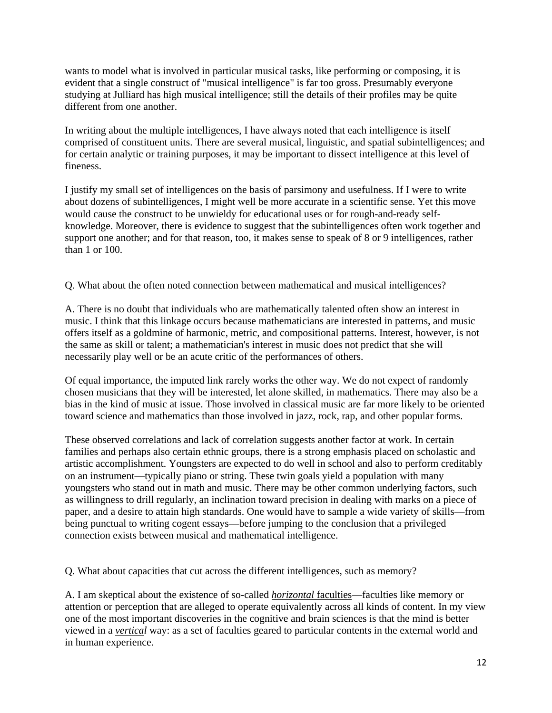wants to model what is involved in particular musical tasks, like performing or composing, it is evident that a single construct of "musical intelligence" is far too gross. Presumably everyone studying at Julliard has high musical intelligence; still the details of their profiles may be quite different from one another.

In writing about the multiple intelligences, I have always noted that each intelligence is itself comprised of constituent units. There are several musical, linguistic, and spatial subintelligences; and for certain analytic or training purposes, it may be important to dissect intelligence at this level of fineness.

I justify my small set of intelligences on the basis of parsimony and usefulness. If I were to write about dozens of subintelligences, I might well be more accurate in a scientific sense. Yet this move would cause the construct to be unwieldy for educational uses or for rough-and-ready selfknowledge. Moreover, there is evidence to suggest that the subintelligences often work together and support one another; and for that reason, too, it makes sense to speak of 8 or 9 intelligences, rather than 1 or 100.

Q. What about the often noted connection between mathematical and musical intelligences?

A. There is no doubt that individuals who are mathematically talented often show an interest in music. I think that this linkage occurs because mathematicians are interested in patterns, and music offers itself as a goldmine of harmonic, metric, and compositional patterns. Interest, however, is not the same as skill or talent; a mathematician's interest in music does not predict that she will necessarily play well or be an acute critic of the performances of others.

Of equal importance, the imputed link rarely works the other way. We do not expect of randomly chosen musicians that they will be interested, let alone skilled, in mathematics. There may also be a bias in the kind of music at issue. Those involved in classical music are far more likely to be oriented toward science and mathematics than those involved in jazz, rock, rap, and other popular forms.

These observed correlations and lack of correlation suggests another factor at work. In certain families and perhaps also certain ethnic groups, there is a strong emphasis placed on scholastic and artistic accomplishment. Youngsters are expected to do well in school and also to perform creditably on an instrument—typically piano or string. These twin goals yield a population with many youngsters who stand out in math and music. There may be other common underlying factors, such as willingness to drill regularly, an inclination toward precision in dealing with marks on a piece of paper, and a desire to attain high standards. One would have to sample a wide variety of skills—from being punctual to writing cogent essays—before jumping to the conclusion that a privileged connection exists between musical and mathematical intelligence.

Q. What about capacities that cut across the different intelligences, such as memory?

A. I am skeptical about the existence of so-called *horizontal* faculties—faculties like memory or attention or perception that are alleged to operate equivalently across all kinds of content. In my view one of the most important discoveries in the cognitive and brain sciences is that the mind is better viewed in a *vertical* way: as a set of faculties geared to particular contents in the external world and in human experience.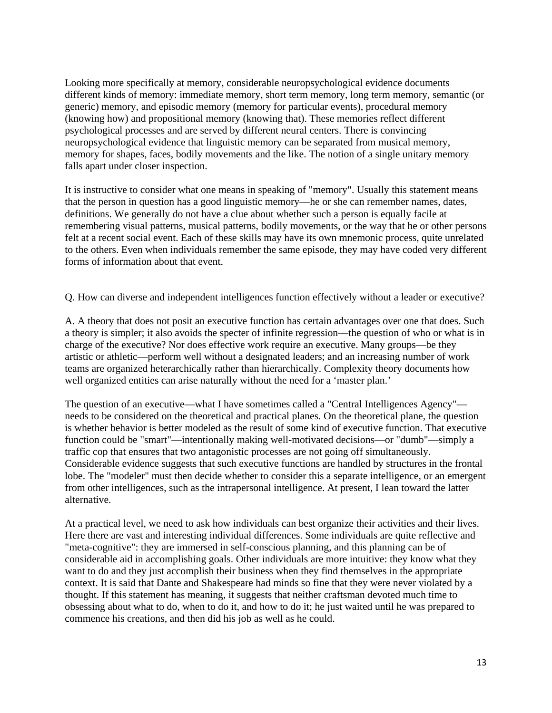Looking more specifically at memory, considerable neuropsychological evidence documents different kinds of memory: immediate memory, short term memory, long term memory, semantic (or generic) memory, and episodic memory (memory for particular events), procedural memory (knowing how) and propositional memory (knowing that). These memories reflect different psychological processes and are served by different neural centers. There is convincing neuropsychological evidence that linguistic memory can be separated from musical memory, memory for shapes, faces, bodily movements and the like. The notion of a single unitary memory falls apart under closer inspection.

It is instructive to consider what one means in speaking of "memory". Usually this statement means that the person in question has a good linguistic memory—he or she can remember names, dates, definitions. We generally do not have a clue about whether such a person is equally facile at remembering visual patterns, musical patterns, bodily movements, or the way that he or other persons felt at a recent social event. Each of these skills may have its own mnemonic process, quite unrelated to the others. Even when individuals remember the same episode, they may have coded very different forms of information about that event.

Q. How can diverse and independent intelligences function effectively without a leader or executive?

A. A theory that does not posit an executive function has certain advantages over one that does. Such a theory is simpler; it also avoids the specter of infinite regression—the question of who or what is in charge of the executive? Nor does effective work require an executive. Many groups—be they artistic or athletic—perform well without a designated leaders; and an increasing number of work teams are organized heterarchically rather than hierarchically. Complexity theory documents how well organized entities can arise naturally without the need for a 'master plan.'

The question of an executive—what I have sometimes called a "Central Intelligences Agency" needs to be considered on the theoretical and practical planes. On the theoretical plane, the question is whether behavior is better modeled as the result of some kind of executive function. That executive function could be "smart"—intentionally making well-motivated decisions—or "dumb"—simply a traffic cop that ensures that two antagonistic processes are not going off simultaneously. Considerable evidence suggests that such executive functions are handled by structures in the frontal lobe. The "modeler" must then decide whether to consider this a separate intelligence, or an emergent from other intelligences, such as the intrapersonal intelligence. At present, I lean toward the latter alternative.

At a practical level, we need to ask how individuals can best organize their activities and their lives. Here there are vast and interesting individual differences. Some individuals are quite reflective and "meta-cognitive": they are immersed in self-conscious planning, and this planning can be of considerable aid in accomplishing goals. Other individuals are more intuitive: they know what they want to do and they just accomplish their business when they find themselves in the appropriate context. It is said that Dante and Shakespeare had minds so fine that they were never violated by a thought. If this statement has meaning, it suggests that neither craftsman devoted much time to obsessing about what to do, when to do it, and how to do it; he just waited until he was prepared to commence his creations, and then did his job as well as he could.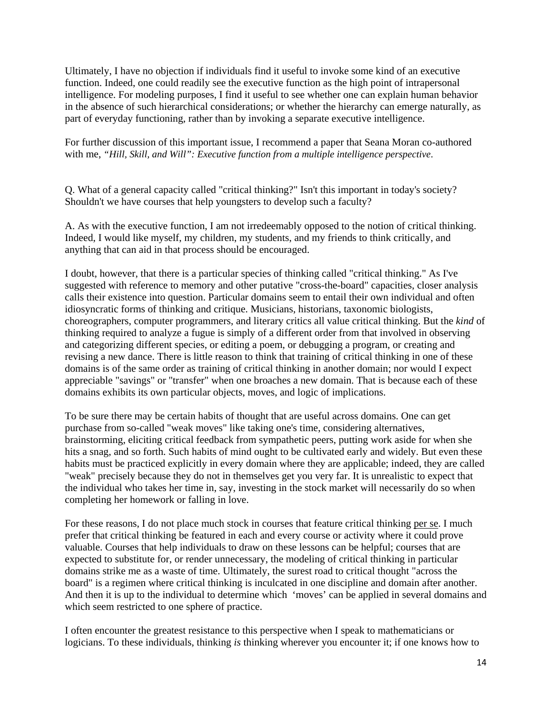Ultimately, I have no objection if individuals find it useful to invoke some kind of an executive function. Indeed, one could readily see the executive function as the high point of intrapersonal intelligence. For modeling purposes, I find it useful to see whether one can explain human behavior in the absence of such hierarchical considerations; or whether the hierarchy can emerge naturally, as part of everyday functioning, rather than by invoking a separate executive intelligence.

For further discussion of this important issue, I recommend a paper that Seana Moran co-authored with me, *"Hill, Skill, and Will": Executive function from a multiple intelligence perspective*.

Q. What of a general capacity called "critical thinking?" Isn't this important in today's society? Shouldn't we have courses that help youngsters to develop such a faculty?

A. As with the executive function, I am not irredeemably opposed to the notion of critical thinking. Indeed, I would like myself, my children, my students, and my friends to think critically, and anything that can aid in that process should be encouraged.

I doubt, however, that there is a particular species of thinking called "critical thinking." As I've suggested with reference to memory and other putative "cross-the-board" capacities, closer analysis calls their existence into question. Particular domains seem to entail their own individual and often idiosyncratic forms of thinking and critique. Musicians, historians, taxonomic biologists, choreographers, computer programmers, and literary critics all value critical thinking. But the *kind* of thinking required to analyze a fugue is simply of a different order from that involved in observing and categorizing different species, or editing a poem, or debugging a program, or creating and revising a new dance. There is little reason to think that training of critical thinking in one of these domains is of the same order as training of critical thinking in another domain; nor would I expect appreciable "savings" or "transfer" when one broaches a new domain. That is because each of these domains exhibits its own particular objects, moves, and logic of implications.

To be sure there may be certain habits of thought that are useful across domains. One can get purchase from so-called "weak moves" like taking one's time, considering alternatives, brainstorming, eliciting critical feedback from sympathetic peers, putting work aside for when she hits a snag, and so forth. Such habits of mind ought to be cultivated early and widely. But even these habits must be practiced explicitly in every domain where they are applicable; indeed, they are called "weak" precisely because they do not in themselves get you very far. It is unrealistic to expect that the individual who takes her time in, say, investing in the stock market will necessarily do so when completing her homework or falling in love.

For these reasons, I do not place much stock in courses that feature critical thinking per se. I much prefer that critical thinking be featured in each and every course or activity where it could prove valuable. Courses that help individuals to draw on these lessons can be helpful; courses that are expected to substitute for, or render unnecessary, the modeling of critical thinking in particular domains strike me as a waste of time. Ultimately, the surest road to critical thought "across the board" is a regimen where critical thinking is inculcated in one discipline and domain after another. And then it is up to the individual to determine which 'moves' can be applied in several domains and which seem restricted to one sphere of practice.

I often encounter the greatest resistance to this perspective when I speak to mathematicians or logicians. To these individuals, thinking *is* thinking wherever you encounter it; if one knows how to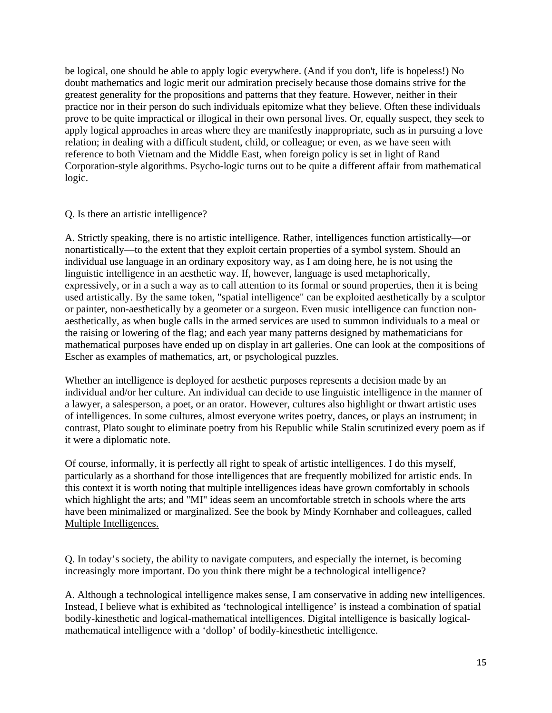be logical, one should be able to apply logic everywhere. (And if you don't, life is hopeless!) No doubt mathematics and logic merit our admiration precisely because those domains strive for the greatest generality for the propositions and patterns that they feature. However, neither in their practice nor in their person do such individuals epitomize what they believe. Often these individuals prove to be quite impractical or illogical in their own personal lives. Or, equally suspect, they seek to apply logical approaches in areas where they are manifestly inappropriate, such as in pursuing a love relation; in dealing with a difficult student, child, or colleague; or even, as we have seen with reference to both Vietnam and the Middle East, when foreign policy is set in light of Rand Corporation-style algorithms. Psycho-logic turns out to be quite a different affair from mathematical logic.

# Q. Is there an artistic intelligence?

A. Strictly speaking, there is no artistic intelligence. Rather, intelligences function artistically—or nonartistically—to the extent that they exploit certain properties of a symbol system. Should an individual use language in an ordinary expository way, as I am doing here, he is not using the linguistic intelligence in an aesthetic way. If, however, language is used metaphorically, expressively, or in a such a way as to call attention to its formal or sound properties, then it is being used artistically. By the same token, "spatial intelligence" can be exploited aesthetically by a sculptor or painter, non-aesthetically by a geometer or a surgeon. Even music intelligence can function nonaesthetically, as when bugle calls in the armed services are used to summon individuals to a meal or the raising or lowering of the flag; and each year many patterns designed by mathematicians for mathematical purposes have ended up on display in art galleries. One can look at the compositions of Escher as examples of mathematics, art, or psychological puzzles.

Whether an intelligence is deployed for aesthetic purposes represents a decision made by an individual and/or her culture. An individual can decide to use linguistic intelligence in the manner of a lawyer, a salesperson, a poet, or an orator. However, cultures also highlight or thwart artistic uses of intelligences. In some cultures, almost everyone writes poetry, dances, or plays an instrument; in contrast, Plato sought to eliminate poetry from his Republic while Stalin scrutinized every poem as if it were a diplomatic note.

Of course, informally, it is perfectly all right to speak of artistic intelligences. I do this myself, particularly as a shorthand for those intelligences that are frequently mobilized for artistic ends. In this context it is worth noting that multiple intelligences ideas have grown comfortably in schools which highlight the arts; and "MI" ideas seem an uncomfortable stretch in schools where the arts have been minimalized or marginalized. See the book by Mindy Kornhaber and colleagues, called Multiple Intelligences.

Q. In today's society, the ability to navigate computers, and especially the internet, is becoming increasingly more important. Do you think there might be a technological intelligence?

A. Although a technological intelligence makes sense, I am conservative in adding new intelligences. Instead, I believe what is exhibited as 'technological intelligence' is instead a combination of spatial bodily-kinesthetic and logical-mathematical intelligences. Digital intelligence is basically logicalmathematical intelligence with a 'dollop' of bodily-kinesthetic intelligence.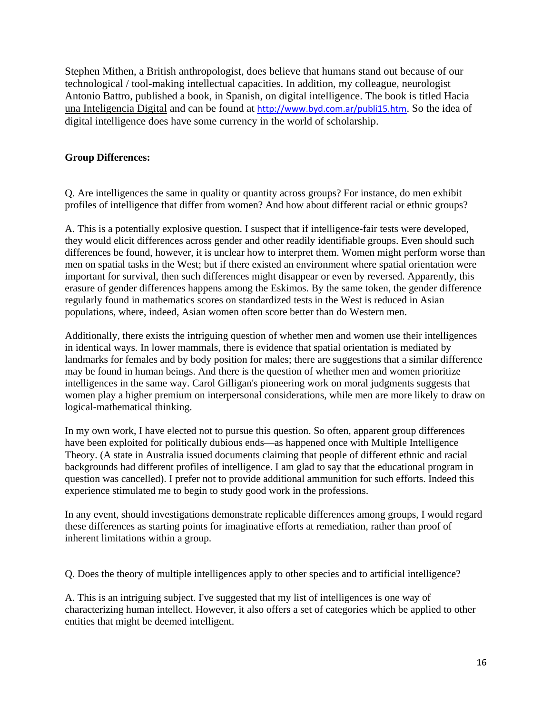Stephen Mithen, a British anthropologist, does believe that humans stand out because of our technological / tool-making intellectual capacities. In addition, my colleague, neurologist Antonio Battro, published a book, in Spanish, on digital intelligence. The book is titled Hacia una Inteligencia Digital and can be found at http://www.byd.com.ar/publi15.htm. So the idea of digital intelligence does have some currency in the world of scholarship.

### **Group Differences:**

Q. Are intelligences the same in quality or quantity across groups? For instance, do men exhibit profiles of intelligence that differ from women? And how about different racial or ethnic groups?

A. This is a potentially explosive question. I suspect that if intelligence-fair tests were developed, they would elicit differences across gender and other readily identifiable groups. Even should such differences be found, however, it is unclear how to interpret them. Women might perform worse than men on spatial tasks in the West; but if there existed an environment where spatial orientation were important for survival, then such differences might disappear or even by reversed. Apparently, this erasure of gender differences happens among the Eskimos. By the same token, the gender difference regularly found in mathematics scores on standardized tests in the West is reduced in Asian populations, where, indeed, Asian women often score better than do Western men.

Additionally, there exists the intriguing question of whether men and women use their intelligences in identical ways. In lower mammals, there is evidence that spatial orientation is mediated by landmarks for females and by body position for males; there are suggestions that a similar difference may be found in human beings. And there is the question of whether men and women prioritize intelligences in the same way. Carol Gilligan's pioneering work on moral judgments suggests that women play a higher premium on interpersonal considerations, while men are more likely to draw on logical-mathematical thinking.

In my own work, I have elected not to pursue this question. So often, apparent group differences have been exploited for politically dubious ends—as happened once with Multiple Intelligence Theory. (A state in Australia issued documents claiming that people of different ethnic and racial backgrounds had different profiles of intelligence. I am glad to say that the educational program in question was cancelled). I prefer not to provide additional ammunition for such efforts. Indeed this experience stimulated me to begin to study good work in the professions.

In any event, should investigations demonstrate replicable differences among groups, I would regard these differences as starting points for imaginative efforts at remediation, rather than proof of inherent limitations within a group.

Q. Does the theory of multiple intelligences apply to other species and to artificial intelligence?

A. This is an intriguing subject. I've suggested that my list of intelligences is one way of characterizing human intellect. However, it also offers a set of categories which be applied to other entities that might be deemed intelligent.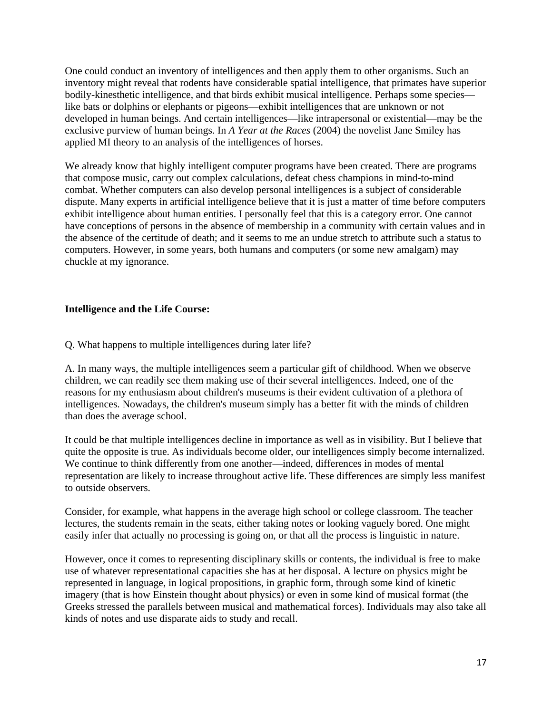One could conduct an inventory of intelligences and then apply them to other organisms. Such an inventory might reveal that rodents have considerable spatial intelligence, that primates have superior bodily-kinesthetic intelligence, and that birds exhibit musical intelligence. Perhaps some species like bats or dolphins or elephants or pigeons—exhibit intelligences that are unknown or not developed in human beings. And certain intelligences—like intrapersonal or existential—may be the exclusive purview of human beings. In *A Year at the Races* (2004) the novelist Jane Smiley has applied MI theory to an analysis of the intelligences of horses.

We already know that highly intelligent computer programs have been created. There are programs that compose music, carry out complex calculations, defeat chess champions in mind-to-mind combat. Whether computers can also develop personal intelligences is a subject of considerable dispute. Many experts in artificial intelligence believe that it is just a matter of time before computers exhibit intelligence about human entities. I personally feel that this is a category error. One cannot have conceptions of persons in the absence of membership in a community with certain values and in the absence of the certitude of death; and it seems to me an undue stretch to attribute such a status to computers. However, in some years, both humans and computers (or some new amalgam) may chuckle at my ignorance.

# **Intelligence and the Life Course:**

Q. What happens to multiple intelligences during later life?

A. In many ways, the multiple intelligences seem a particular gift of childhood. When we observe children, we can readily see them making use of their several intelligences. Indeed, one of the reasons for my enthusiasm about children's museums is their evident cultivation of a plethora of intelligences. Nowadays, the children's museum simply has a better fit with the minds of children than does the average school.

It could be that multiple intelligences decline in importance as well as in visibility. But I believe that quite the opposite is true. As individuals become older, our intelligences simply become internalized. We continue to think differently from one another—indeed, differences in modes of mental representation are likely to increase throughout active life. These differences are simply less manifest to outside observers.

Consider, for example, what happens in the average high school or college classroom. The teacher lectures, the students remain in the seats, either taking notes or looking vaguely bored. One might easily infer that actually no processing is going on, or that all the process is linguistic in nature.

However, once it comes to representing disciplinary skills or contents, the individual is free to make use of whatever representational capacities she has at her disposal. A lecture on physics might be represented in language, in logical propositions, in graphic form, through some kind of kinetic imagery (that is how Einstein thought about physics) or even in some kind of musical format (the Greeks stressed the parallels between musical and mathematical forces). Individuals may also take all kinds of notes and use disparate aids to study and recall.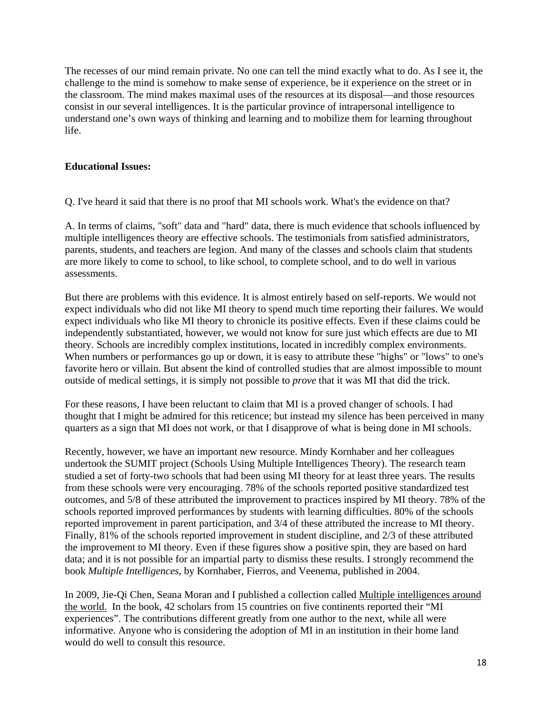The recesses of our mind remain private. No one can tell the mind exactly what to do. As I see it, the challenge to the mind is somehow to make sense of experience, be it experience on the street or in the classroom. The mind makes maximal uses of the resources at its disposal—and those resources consist in our several intelligences. It is the particular province of intrapersonal intelligence to understand one's own ways of thinking and learning and to mobilize them for learning throughout life.

# **Educational Issues:**

Q. I've heard it said that there is no proof that MI schools work. What's the evidence on that?

A. In terms of claims, "soft" data and "hard" data, there is much evidence that schools influenced by multiple intelligences theory are effective schools. The testimonials from satisfied administrators, parents, students, and teachers are legion. And many of the classes and schools claim that students are more likely to come to school, to like school, to complete school, and to do well in various assessments.

But there are problems with this evidence. It is almost entirely based on self-reports. We would not expect individuals who did not like MI theory to spend much time reporting their failures. We would expect individuals who like MI theory to chronicle its positive effects. Even if these claims could be independently substantiated, however, we would not know for sure just which effects are due to MI theory. Schools are incredibly complex institutions, located in incredibly complex environments. When numbers or performances go up or down, it is easy to attribute these "highs" or "lows" to one's favorite hero or villain. But absent the kind of controlled studies that are almost impossible to mount outside of medical settings, it is simply not possible to *prove* that it was MI that did the trick.

For these reasons, I have been reluctant to claim that MI is a proved changer of schools. I had thought that I might be admired for this reticence; but instead my silence has been perceived in many quarters as a sign that MI does not work, or that I disapprove of what is being done in MI schools.

Recently, however, we have an important new resource. Mindy Kornhaber and her colleagues undertook the SUMIT project (Schools Using Multiple Intelligences Theory). The research team studied a set of forty-two schools that had been using MI theory for at least three years. The results from these schools were very encouraging. 78% of the schools reported positive standardized test outcomes, and 5/8 of these attributed the improvement to practices inspired by MI theory. 78% of the schools reported improved performances by students with learning difficulties. 80% of the schools reported improvement in parent participation, and 3/4 of these attributed the increase to MI theory. Finally, 81% of the schools reported improvement in student discipline, and 2/3 of these attributed the improvement to MI theory. Even if these figures show a positive spin, they are based on hard data; and it is not possible for an impartial party to dismiss these results. I strongly recommend the book *Multiple Intelligences*, by Kornhaber, Fierros, and Veenema, published in 2004.

In 2009, Jie-Qi Chen, Seana Moran and I published a collection called Multiple intelligences around the world. In the book, 42 scholars from 15 countries on five continents reported their "MI experiences". The contributions different greatly from one author to the next, while all were informative. Anyone who is considering the adoption of MI in an institution in their home land would do well to consult this resource.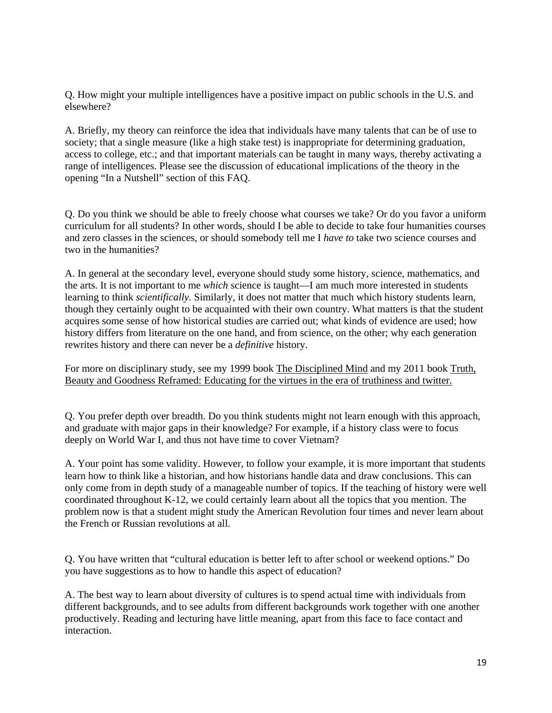Q. How might your multiple intelligences have a positive impact on public schools in the U.S. and elsewhere?

A. Briefly, my theory can reinforce the idea that individuals have many talents that can be of use to society; that a single measure (like a high stake test) is inappropriate for determining graduation, access to college, etc.; and that important materials can be taught in many ways, thereby activating a range of intelligences. Please see the discussion of educational implications of the theory in the opening "In a Nutshell" section of this FAQ.

Q. Do you think we should be able to freely choose what courses we take? Or do you favor a uniform curriculum for all students? In other words, should I be able to decide to take four humanities courses and zero classes in the sciences, or should somebody tell me I *have to* take two science courses and two in the humanities?

A. In general at the secondary level, everyone should study some history, science, mathematics, and the arts. It is not important to me *which* science is taught—I am much more interested in students learning to think *scientifically.* Similarly, it does not matter that much which history students learn, though they certainly ought to be acquainted with their own country. What matters is that the student acquires some sense of how historical studies are carried out; what kinds of evidence are used; how history differs from literature on the one hand, and from science, on the other; why each generation rewrites history and there can never be a *definitive* history.

For more on disciplinary study, see my 1999 book The Disciplined Mind and my 2011 book Truth, Beauty and Goodness Reframed: Educating for the virtues in the era of truthiness and twitter.

Q. You prefer depth over breadth. Do you think students might not learn enough with this approach, and graduate with major gaps in their knowledge? For example, if a history class were to focus deeply on World War I, and thus not have time to cover Vietnam?

A. Your point has some validity. However, to follow your example, it is more important that students learn how to think like a historian, and how historians handle data and draw conclusions. This can only come from in depth study of a manageable number of topics. If the teaching of history were well coordinated throughout K-12, we could certainly learn about all the topics that you mention. The problem now is that a student might study the American Revolution four times and never learn about the French or Russian revolutions at all.

Q. You have written that "cultural education is better left to after school or weekend options." Do you have suggestions as to how to handle this aspect of education?

A. The best way to learn about diversity of cultures is to spend actual time with individuals from different backgrounds, and to see adults from different backgrounds work together with one another productively. Reading and lecturing have little meaning, apart from this face to face contact and interaction.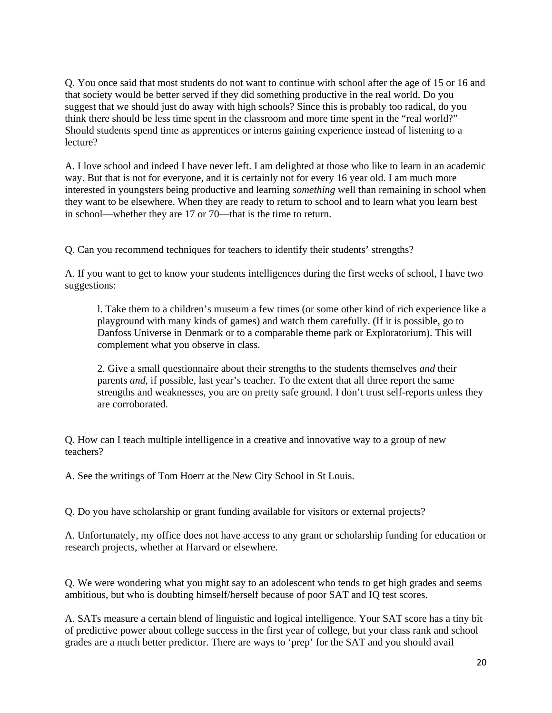Q. You once said that most students do not want to continue with school after the age of 15 or 16 and that society would be better served if they did something productive in the real world. Do you suggest that we should just do away with high schools? Since this is probably too radical, do you think there should be less time spent in the classroom and more time spent in the "real world?" Should students spend time as apprentices or interns gaining experience instead of listening to a lecture?

A. I love school and indeed I have never left. I am delighted at those who like to learn in an academic way. But that is not for everyone, and it is certainly not for every 16 year old. I am much more interested in youngsters being productive and learning *something* well than remaining in school when they want to be elsewhere. When they are ready to return to school and to learn what you learn best in school—whether they are 17 or 70—that is the time to return.

Q. Can you recommend techniques for teachers to identify their students' strengths?

A. If you want to get to know your students intelligences during the first weeks of school, I have two suggestions:

l. Take them to a children's museum a few times (or some other kind of rich experience like a playground with many kinds of games) and watch them carefully. (If it is possible, go to Danfoss Universe in Denmark or to a comparable theme park or Exploratorium). This will complement what you observe in class.

2. Give a small questionnaire about their strengths to the students themselves *and* their parents *and,* if possible, last year's teacher. To the extent that all three report the same strengths and weaknesses, you are on pretty safe ground. I don't trust self-reports unless they are corroborated.

Q. How can I teach multiple intelligence in a creative and innovative way to a group of new teachers?

A. See the writings of Tom Hoerr at the New City School in St Louis.

Q. Do you have scholarship or grant funding available for visitors or external projects?

A. Unfortunately, my office does not have access to any grant or scholarship funding for education or research projects, whether at Harvard or elsewhere.

Q. We were wondering what you might say to an adolescent who tends to get high grades and seems ambitious, but who is doubting himself/herself because of poor SAT and IQ test scores.

A. SATs measure a certain blend of linguistic and logical intelligence. Your SAT score has a tiny bit of predictive power about college success in the first year of college, but your class rank and school grades are a much better predictor. There are ways to 'prep' for the SAT and you should avail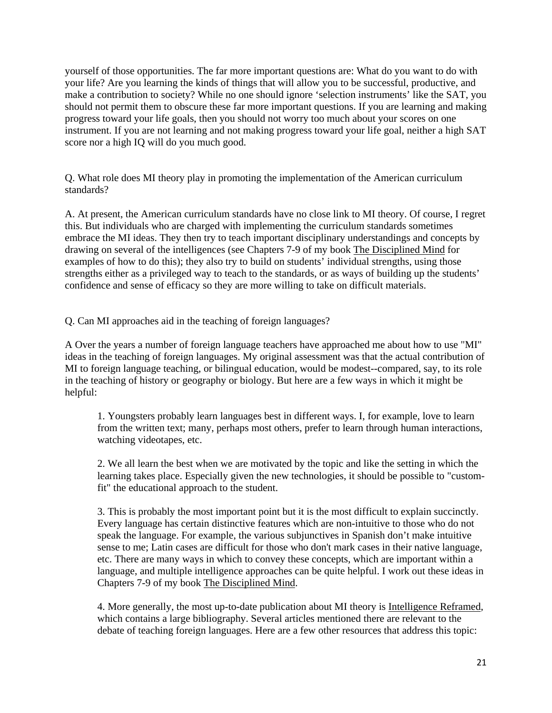yourself of those opportunities. The far more important questions are: What do you want to do with your life? Are you learning the kinds of things that will allow you to be successful, productive, and make a contribution to society? While no one should ignore 'selection instruments' like the SAT, you should not permit them to obscure these far more important questions. If you are learning and making progress toward your life goals, then you should not worry too much about your scores on one instrument. If you are not learning and not making progress toward your life goal, neither a high SAT score nor a high IQ will do you much good.

Q. What role does MI theory play in promoting the implementation of the American curriculum standards?

A. At present, the American curriculum standards have no close link to MI theory. Of course, I regret this. But individuals who are charged with implementing the curriculum standards sometimes embrace the MI ideas. They then try to teach important disciplinary understandings and concepts by drawing on several of the intelligences (see Chapters 7-9 of my book The Disciplined Mind for examples of how to do this); they also try to build on students' individual strengths, using those strengths either as a privileged way to teach to the standards, or as ways of building up the students' confidence and sense of efficacy so they are more willing to take on difficult materials.

Q. Can MI approaches aid in the teaching of foreign languages?

A Over the years a number of foreign language teachers have approached me about how to use "MI" ideas in the teaching of foreign languages. My original assessment was that the actual contribution of MI to foreign language teaching, or bilingual education, would be modest--compared, say, to its role in the teaching of history or geography or biology. But here are a few ways in which it might be helpful:

1. Youngsters probably learn languages best in different ways. I, for example, love to learn from the written text; many, perhaps most others, prefer to learn through human interactions, watching videotapes, etc.

2. We all learn the best when we are motivated by the topic and like the setting in which the learning takes place. Especially given the new technologies, it should be possible to "customfit" the educational approach to the student.

3. This is probably the most important point but it is the most difficult to explain succinctly. Every language has certain distinctive features which are non-intuitive to those who do not speak the language. For example, the various subjunctives in Spanish don't make intuitive sense to me; Latin cases are difficult for those who don't mark cases in their native language, etc. There are many ways in which to convey these concepts, which are important within a language, and multiple intelligence approaches can be quite helpful. I work out these ideas in Chapters 7-9 of my book The Disciplined Mind.

4. More generally, the most up-to-date publication about MI theory is Intelligence Reframed, which contains a large bibliography. Several articles mentioned there are relevant to the debate of teaching foreign languages. Here are a few other resources that address this topic: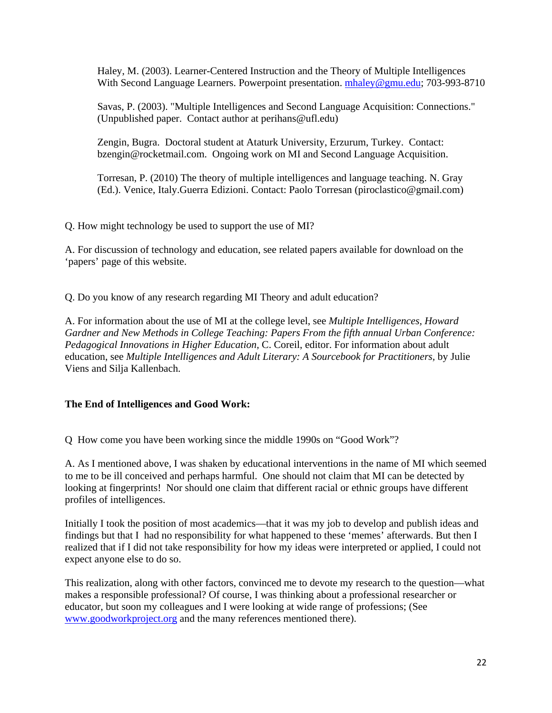Haley, M. (2003). Learner-Centered Instruction and the Theory of Multiple Intelligences With Second Language Learners. Powerpoint presentation. mhaley@gmu.edu; 703-993-8710

Savas, P. (2003). "Multiple Intelligences and Second Language Acquisition: Connections." (Unpublished paper. Contact author at perihans@ufl.edu)

Zengin, Bugra. Doctoral student at Ataturk University, Erzurum, Turkey. Contact: bzengin@rocketmail.com. Ongoing work on MI and Second Language Acquisition.

Torresan, P. (2010) The theory of multiple intelligences and language teaching. N. Gray (Ed.). Venice, Italy.Guerra Edizioni. Contact: Paolo Torresan (piroclastico@gmail.com)

Q. How might technology be used to support the use of MI?

A. For discussion of technology and education, see related papers available for download on the 'papers' page of this website.

Q. Do you know of any research regarding MI Theory and adult education?

A. For information about the use of MI at the college level, see *Multiple Intelligences, Howard Gardner and New Methods in College Teaching: Papers From the fifth annual Urban Conference: Pedagogical Innovations in Higher Education,* C. Coreil, editor. For information about adult education, see *Multiple Intelligences and Adult Literary: A Sourcebook for Practitioners,* by Julie Viens and Silja Kallenbach.

# **The End of Intelligences and Good Work:**

Q How come you have been working since the middle 1990s on "Good Work"?

A. As I mentioned above, I was shaken by educational interventions in the name of MI which seemed to me to be ill conceived and perhaps harmful. One should not claim that MI can be detected by looking at fingerprints! Nor should one claim that different racial or ethnic groups have different profiles of intelligences.

Initially I took the position of most academics—that it was my job to develop and publish ideas and findings but that I had no responsibility for what happened to these 'memes' afterwards. But then I realized that if I did not take responsibility for how my ideas were interpreted or applied, I could not expect anyone else to do so.

This realization, along with other factors, convinced me to devote my research to the question—what makes a responsible professional? Of course, I was thinking about a professional researcher or educator, but soon my colleagues and I were looking at wide range of professions; (See www.goodworkproject.org and the many references mentioned there).